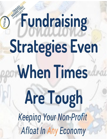Fundraising YTGM **Strategies Even When Times** Are Tough **Keeping Your Non-Profit** Afloat In Any Economy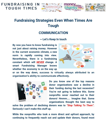



# **Fundraising Strategies Even When Times Are Tough**

#### **COMMUNICATION**

#### **~ Let's Keep In touch**

**By now you have to know fundraising is not just about raising money. However in the current economic climate, a new norm is rapidly coming into view. Nevertheless, there** *is* **a fundraising constant which will** *NEVER* **change. A smart Fundraising Manager knows whether the economy is on the way up**



**or on the way down, success is virtually always attributed to an organization's ability to communicate effectively.**



**Do you know one of the top reasons donor organizations saw a decline in their funding during the last recession? You're not going to believe this. Some nonprofits** *never* **reached out to their donors! Hmmm….. Imagine that. Some organizations thought the best way to**

**solve the problem of declining donors was to** *"Stop Talking To Them".* **Seriously I can't make this stuff up.**

**While the nonprofits who took a more direct and upfront approach, by continuing to frequently reach out and update their donors, found most**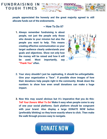

**people appreciated the honesty and the great majority agreed to still allocate funds out of the endowments.**

money

#### **~ How To Do it?**

**1. Always remember fundraising is about people, not just the people only those who donate to your mission but also the people you want to help. This means creating effective communication so your target audience clearly understands your goals and objectives. Show not only how the money will be raised and how it will be used. Most importantly, say "Thank You" often.**



- **2. Your story shouldn't just be captivating, it should be unforgettable. Give your organization a "face". If possible show images of how their donations help people right in the community. Break down the numbers to show how even small donations can make a huge impact.**
- **3. Now this may sound obvious but it's imperative that you do this:** *Tell Your Donors What To Do!* **Make it easy when people come to any of one your social platforms. Each platform should be congruent with your brand. Also display a large DONATE NOW button (preferably blinking) so they know exactly where to click. Then make the walk through process easy to navigate.**

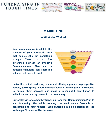





#### **MARKETING**

#### **~ What Has Worked**

**Yes communication is vital to the success of your non-profit. With that said…...Let's get something straight…...There is a BIG difference between an effective Communications Plan and a strategic Marketing Plan. There is a balance that needs to exist.**



**Unlike the typical marketing, you're not offering a product to prospective donors, you're giving donors the satisfaction of realizing their own desire to pursue their passions and make a meaningful contribution to individuals and worthy causes in the community.**

**Our challenge is to smoothly transition from your Communication Plan to your Marketing Plan while creating an environment favorable to contributing to your mission. Each campaign will be different but the system you'll follow will be the same.**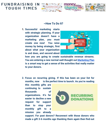

#### **~How To Do It?**

**1. Successful marketing starts with strategic planning. If your organization doesn't have a marketing plan, you must create one now! You raise money by being strategic, first about what your organization is and does, and second about**



**how you are going to create sustainable revenue streams. You are entering a new normal well thought out [Marketing](https://www.brandthropologist.net/marketing-in-an-economic-downturn/) Plan is a smart way to get a sense of the activities that really matter to your donors.**

**2. Focus on recurring giving. If this has been on your list for months, now is the perfect time to launch. As you're reading**

**this monthly gifts are continuing to sustain thousands of organizations. It's far easier to decline a new request for support than to stop your monthly gift to a mission you already**



**support. For past donors? Reconnect with those donors who made a gift 3-6 months ago thanking them again then find out**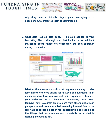

**why they invested initially. Adjust your messaging so it appeals to what attracted them to your mission.**

**3. What gets tracked gets done. This also applies to your Marketing Plan. Although your first instinct is to pull back marketing spend, that's not necessarily the best approach during a recession.**



**Whether the economy is soft or strong, one sure way to raise less money is to stop asking for it! Keep on advertising, in an economic downturn you can still gain exposure to broaden your audience, but at discounted advertising rates. Keep learning now is a great time to learn from others, get a fresh perspective and keep your mission moving forward. One of the top ways to recession-proof your fundraising is to keep doing the things that raise money and carefully track what is working and what is not.**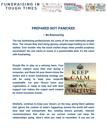





#### **PREPARED NOT PANICKED**

#### **~ Be Reassuring**

**The top fundraising professionals are some of the most optimistic people alive. The minute they start being gloomy, people begin holding on to their wallets. Ever wonder why the stock market drops when pundits prophesy uncertainty? No one wants to invest in a questionable deal. It's the same with fundraising.**

**People like to play on a winning team. Your mission matters more than ever during a recession, and these let your donors know the tactics and a smart fundraising strategy you will be using to keep your nonprofit sustainable. Let your donors know your organization is ready to help and with their support can reduce the urgent need created by recent economic events.**



**Similarly, continue to keep your donors on the loop, giving them updates that ignore the context of what's happening around the world will seem tone deaf and unimportant. But, sending donors periodic, relevant communications that draw on our current context can keep the relationships going. Here's what you need to remember. If you are not**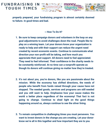

**properly prepared, your fundraising program is almost certainly doomed to failure. In good times and bad.**

#### **~ How To Do It?**

- **1. Be sure to keep campaign donors and volunteers in the loop on any goal adjustments to avoid challenges down the road. People like to play on a winning team. Let your donors know your organization is ready to help and with their support can reduce the urgent need created by recent economic events. Continue to communicate what direction your non-profit will be taking, and how much you appreciate their past support. All donors need to feel appreciated. They need to feel informed. Their confidence in the charity needs to be constantly reinforced. At no time can a nonprofit operate as though its donors will continue giving no matter how they're treated.**
- **2. It's not about you, you're donors, like you are passionate about the mission. While the economy has shifted directions, the needs of people who benefit from funds raised through your cause have not stopped. The needed goods, services and programs are still needed and you still want to help. Emphasize how your cause makes the world a better place regardless of the economy! That fact is not going to change. Continue to shed light on the good things happening around us, always continue to see the silver lining.**
- **3. To remain competitive in challenging times you must persevere. You want to invest donors in the change you are creating. Let your donor know we're all in this together and how important they are to you**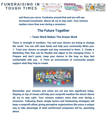

**and those you serve. Fundraise around that and you will see increased investment. Above all, try to stay calm. Your mission matters more than ever during a recession.**

# **The Future Together**

#### **~ Team Work Makes The Dream Work**

**There is strength in numbers. You and your donors are trying to change the world. You can still raise funds and help your community When you: 1. Treat your donors as people and stay connected to them. 2. Create a Marketing Plan that can be flexible and adjust to the changing times. 3. Prepare and don't panic, keep your donors in the loop so they feel comfortable with you. 4. Form an environment of community people support what they help to create.**



**Remember your mission and vision are not any less significant today. Staying on top of issues will help your nonprofit weather the storm! Above all, try to stay calm. Your mission matters more than ever during a recession. Following these simple tactics and fundraising strategies will keep a nonprofit afloat, giving perceptive organizations like yours a unique way to take advantage of what uninformed companies will be panicking about.**